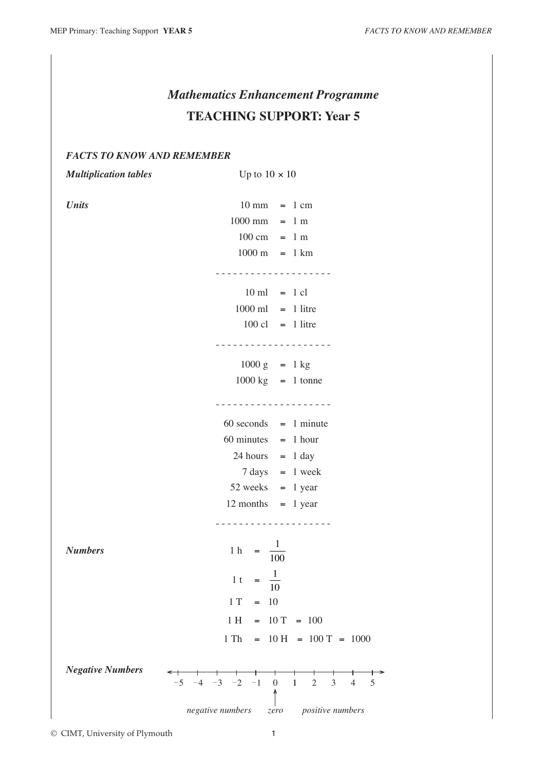# *Mathematics Enhancement Programme* **TEACHING SUPPORT: Year 5**

# *FACTS TO KNOW AND REMEMBER*

*Multiplication tables* Up to  $10 \times 10$ *Units* 10 mm = 1 cm  $1000 \text{ mm} = 1 \text{ m}$  $100 \text{ cm} = 1 \text{ m}$  $1000 \text{ m} = 1 \text{ km}$ - - - - - - - - - - - - - - - - - - - -  $10 \text{ ml} = 1 \text{ cl}$  $1000 \text{ ml} = 1$  litre  $100 \text{ cl} = 1$  litre - - - - - - - - - - - - - - - - - - - -  $1000 \text{ g}$  = 1 kg  $1000 \text{ kg}$  = 1 tonne - - - - - - - - - - - - - - - - - - - -  $60$  seconds  $= 1$  minute  $60$  minutes  $= 1$  hour  $24$  hours = 1 day  $7 \text{ days} = 1 \text{ week}$  $52$  weeks = 1 year

 $12$  months  $= 1$  year - - - - - - - - - - - - - - - - - - - - *Numbers* 1 h =  $\frac{1}{10}$ 100 1 t =  $\frac{1}{16}$ 10  $1 T = 10$  $1 H = 10 T = 100$  $1 \text{ Th } = 10 \text{ H } = 100 \text{ T } = 1000$ *Negative Numbers*  $-5$   $-4$   $-3$   $-2$   $-1$  0 1 2 3 4 5 ↑ *negative numbers positive numbers*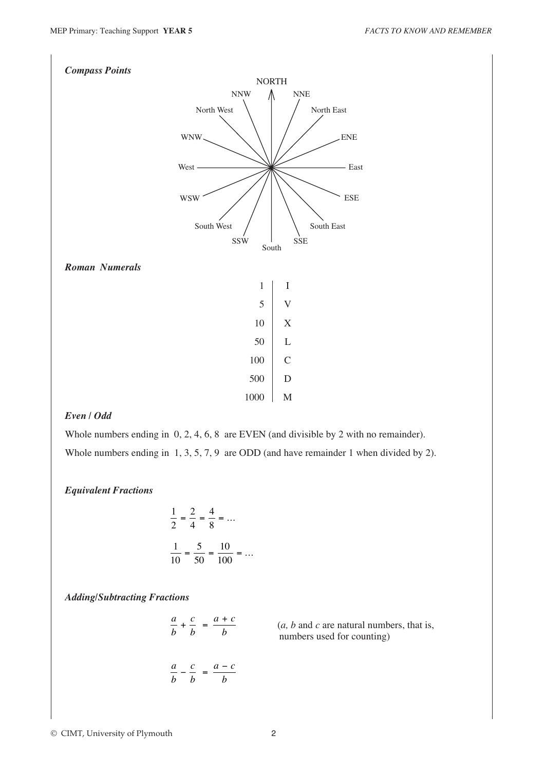

# *Even / Odd*

Whole numbers ending in 0, 2, 4, 6, 8 are EVEN (and divisible by 2 with no remainder). Whole numbers ending in 1, 3, 5, 7, 9 are ODD (and have remainder 1 when divided by 2).

#### *Equivalent Fractions*

$$
\frac{1}{2} = \frac{2}{4} = \frac{4}{8} = \dots
$$

$$
\frac{1}{10} = \frac{5}{50} = \frac{10}{100} = \dots
$$

*Adding/Subtracting Fractions*

*a b c b*  $a + c$ *b*  $+ - =$ *a b c b*  $-\frac{c}{b} = \frac{a-c}{b}$ 

 $(a, b \text{ and } c \text{ are natural numbers, that is,})$ numbers used for counting)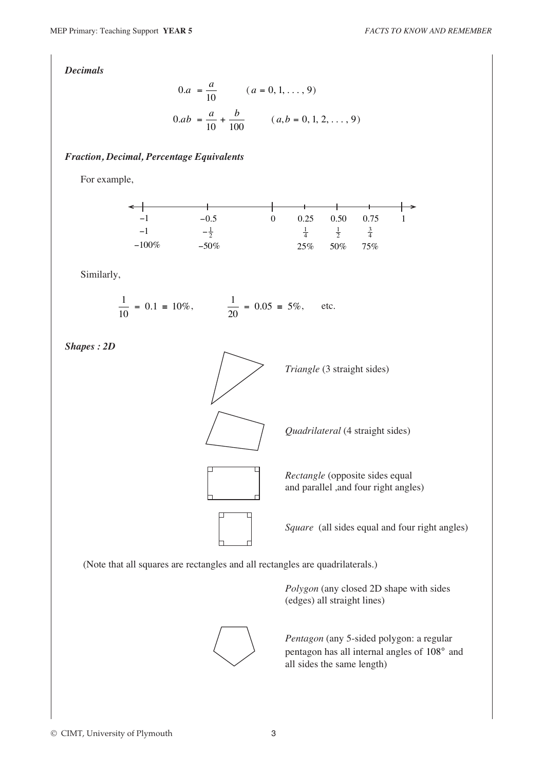*Decimals*

$$
0.a = \frac{a}{10} \qquad (a = 0, 1, ..., 9)
$$
  

$$
0.ab = \frac{a}{10} + \frac{b}{100} \qquad (a, b = 0, 1, 2, ..., 9)
$$

### *Fraction, Decimal, Percentage Equivalents*

For example,



Similarly,

$$
\frac{1}{10} = 0.1 \equiv 10\%, \qquad \frac{1}{20} = 0.05 \equiv 5\%, \qquad \text{etc.}
$$

*Shapes : 2D*



(Note that all squares are rectangles and all rectangles are quadrilaterals.)



*Polygon* (any closed 2D shape with sides (edges) all straight lines)

*Pentagon* (any 5-sided polygon: a regular pentagon has all internal angles of 108° and all sides the same length)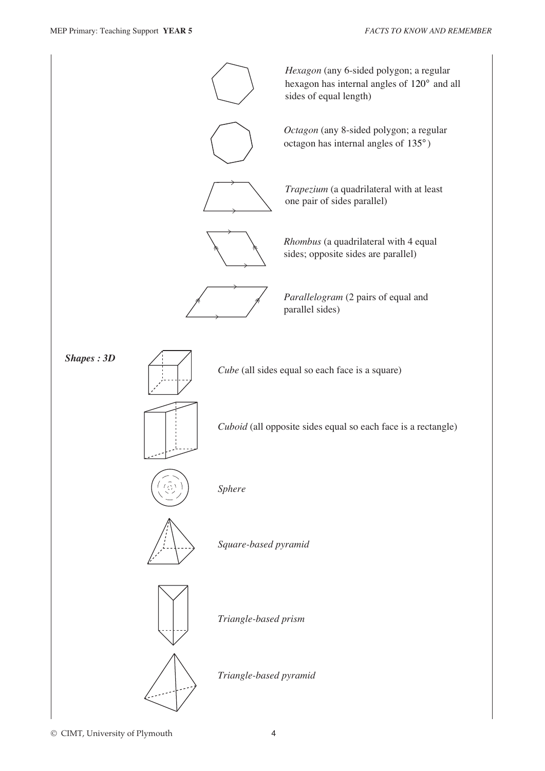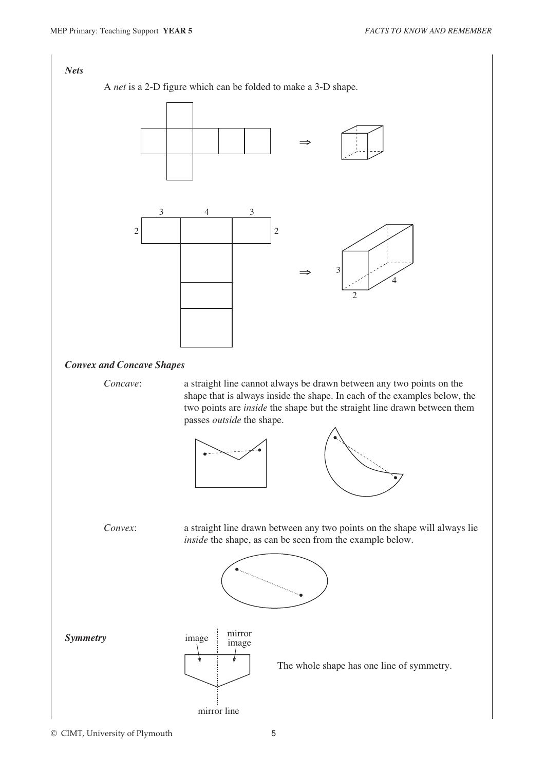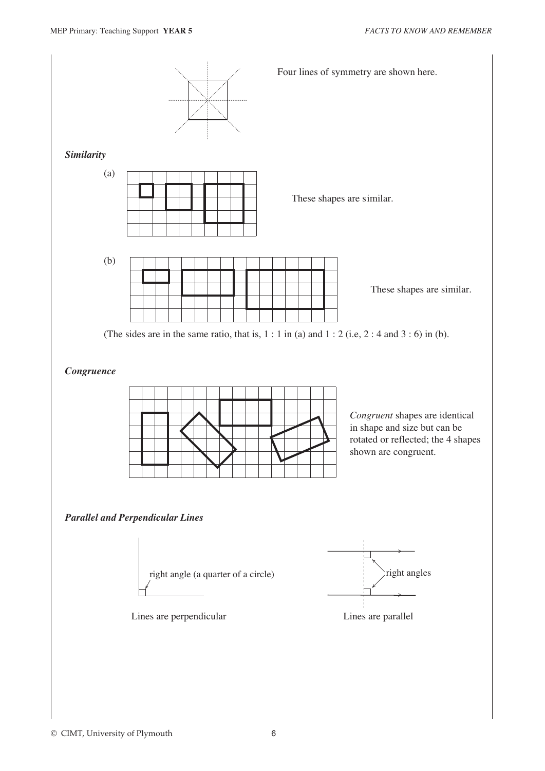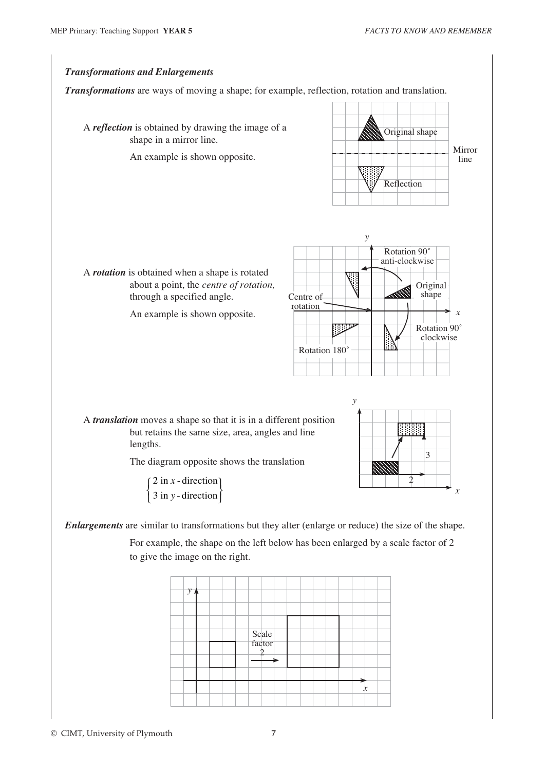### *Transformations and Enlargements Transformations* are ways of moving a shape; for example, reflection, rotation and translation. A *reflection* is obtained by drawing the image of a shape in a mirror line. An example is shown opposite. A *rotation* is obtained when a shape is rotated about a point, the *centre of rotation,* through a specified angle. An example is shown opposite. A *translation* moves a shape so that it is in a different position but retains the same size, area, angles and line lengths. The diagram opposite shows the translation 2 in  $x$  - direction  $3$  in  $y$ -direction *x y* ¨  $\left\{ \right.$  $\mathfrak l$ ¬  $\left\{ \right\}$ ® *Enlargements* are similar to transformations but they alter (enlarge or reduce) the size of the shape. Original shape Reflection Mirror line *y x* Original shape Rotation 90˚ anti-clockwise Rotation 180˚ Rotation 90˚ clockwise Centre of rotation *y x* 2 3

For example, the shape on the left below has been enlarged by a scale factor of 2 to give the image on the right.

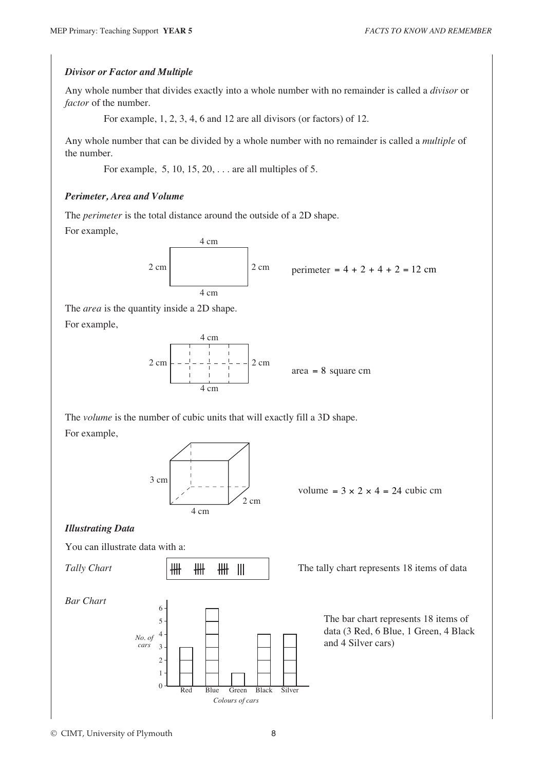#### *Divisor or Factor and Multiple*

Any whole number that divides exactly into a whole number with no remainder is called a *divisor* or *factor* of the number.

For example, 1, 2, 3, 4, 6 and 12 are all divisors (or factors) of 12.

Any whole number that can be divided by a whole number with no remainder is called a *multiple* of the number.

For example, 5, 10, 15, 20, . . . are all multiples of 5.

### *Perimeter, Area and Volume*

The *perimeter* is the total distance around the outside of a 2D shape. For example,



perimeter =  $4 + 2 + 4 + 2 = 12$  cm

The *area* is the quantity inside a 2D shape. For example,



area = 8 square cm

The *volume* is the number of cubic units that will exactly fill a 3D shape. For example,



volume =  $3 \times 2 \times 4 = 24$  cubic cm

## *Illustrating Data*

You can illustrate data with a: